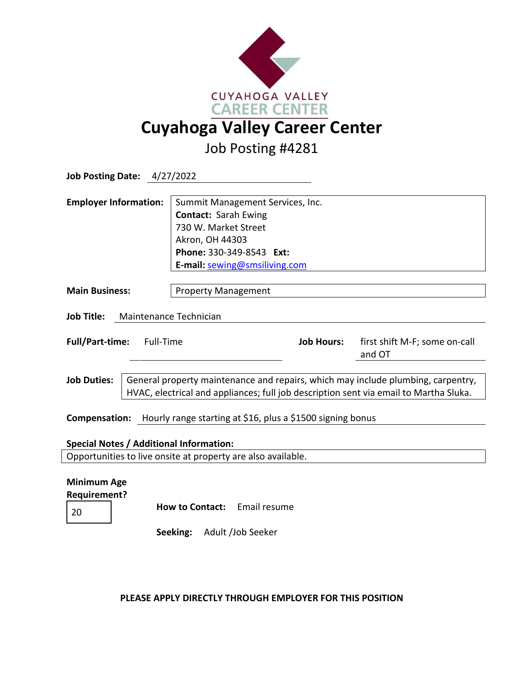

Job Posting #4281

| <b>Job Posting Date: 4/27/2022</b>                                                                             |                                                                                                                                                                           |                                                                                                                                                                         |                                   |                   |                                         |
|----------------------------------------------------------------------------------------------------------------|---------------------------------------------------------------------------------------------------------------------------------------------------------------------------|-------------------------------------------------------------------------------------------------------------------------------------------------------------------------|-----------------------------------|-------------------|-----------------------------------------|
| <b>Employer Information:</b>                                                                                   |                                                                                                                                                                           | Summit Management Services, Inc.<br><b>Contact: Sarah Ewing</b><br>730 W. Market Street<br>Akron, OH 44303<br>Phone: 330-349-8543 Ext:<br>E-mail: sewing@smsiliving.com |                                   |                   |                                         |
| <b>Main Business:</b>                                                                                          |                                                                                                                                                                           | <b>Property Management</b>                                                                                                                                              |                                   |                   |                                         |
| <b>Job Title:</b><br>Maintenance Technician                                                                    |                                                                                                                                                                           |                                                                                                                                                                         |                                   |                   |                                         |
| <b>Full/Part-time:</b><br>Full-Time                                                                            |                                                                                                                                                                           |                                                                                                                                                                         |                                   | <b>Job Hours:</b> | first shift M-F; some on-call<br>and OT |
| <b>Job Duties:</b>                                                                                             | General property maintenance and repairs, which may include plumbing, carpentry,<br>HVAC, electrical and appliances; full job description sent via email to Martha Sluka. |                                                                                                                                                                         |                                   |                   |                                         |
| <b>Compensation:</b> Hourly range starting at \$16, plus a \$1500 signing bonus                                |                                                                                                                                                                           |                                                                                                                                                                         |                                   |                   |                                         |
| <b>Special Notes / Additional Information:</b><br>Opportunities to live onsite at property are also available. |                                                                                                                                                                           |                                                                                                                                                                         |                                   |                   |                                         |
| <b>Minimum Age</b><br><b>Requirement?</b><br>20                                                                |                                                                                                                                                                           | <b>How to Contact:</b><br>Seeking:                                                                                                                                      | Email resume<br>Adult /Job Seeker |                   |                                         |

**PLEASE APPLY DIRECTLY THROUGH EMPLOYER FOR THIS POSITION**